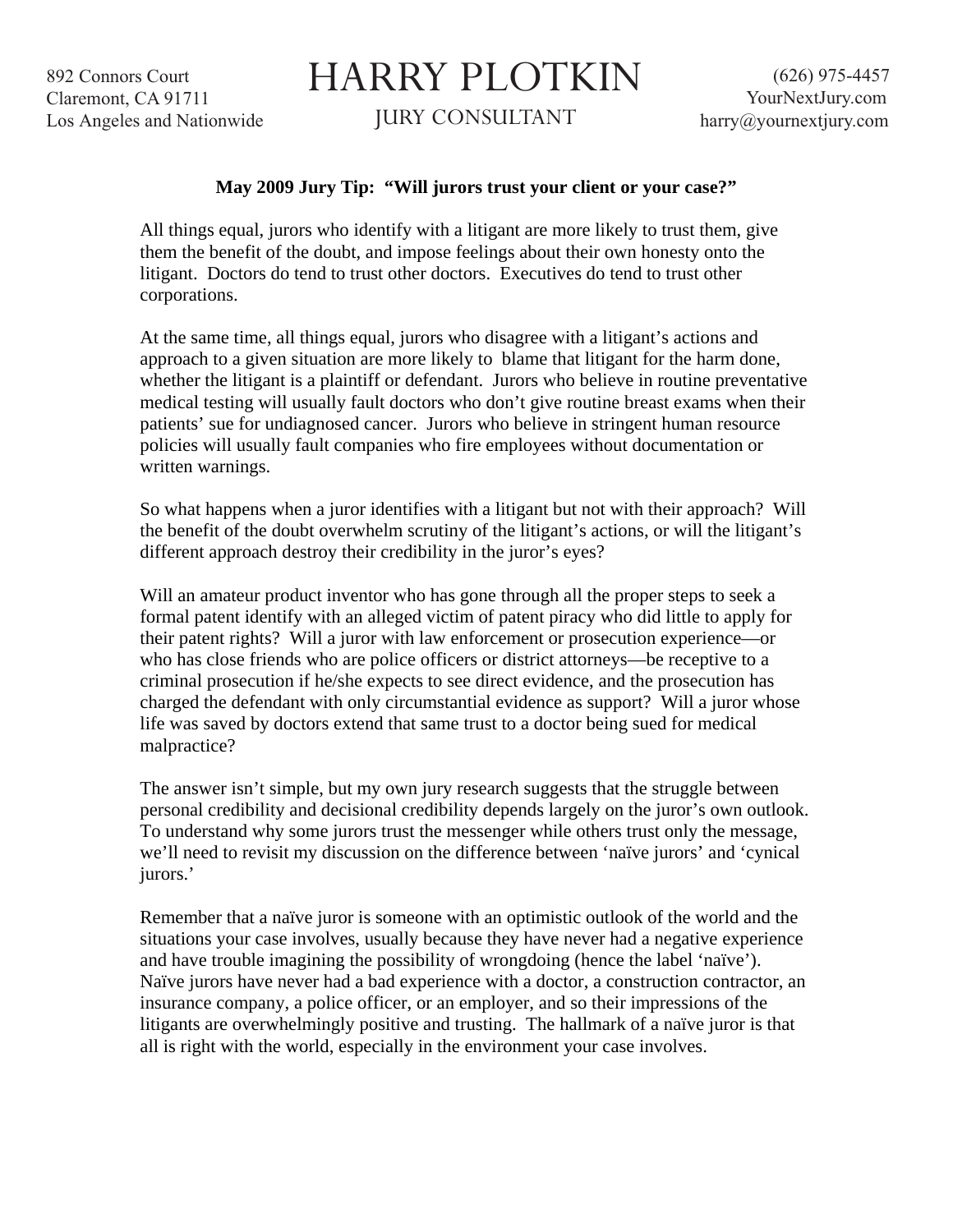892 Connors Court Claremont, CA 91711 Los Angeles and Nationwide

## HARRY PLOTKIN

JURY CONSULTANT

## **May 2009 Jury Tip: "Will jurors trust your client or your case?"**

All things equal, jurors who identify with a litigant are more likely to trust them, give them the benefit of the doubt, and impose feelings about their own honesty onto the litigant. Doctors do tend to trust other doctors. Executives do tend to trust other corporations.

At the same time, all things equal, jurors who disagree with a litigant's actions and approach to a given situation are more likely to blame that litigant for the harm done, whether the litigant is a plaintiff or defendant. Jurors who believe in routine preventative medical testing will usually fault doctors who don't give routine breast exams when their patients' sue for undiagnosed cancer. Jurors who believe in stringent human resource policies will usually fault companies who fire employees without documentation or written warnings.

So what happens when a juror identifies with a litigant but not with their approach? Will the benefit of the doubt overwhelm scrutiny of the litigant's actions, or will the litigant's different approach destroy their credibility in the juror's eyes?

Will an amateur product inventor who has gone through all the proper steps to seek a formal patent identify with an alleged victim of patent piracy who did little to apply for their patent rights? Will a juror with law enforcement or prosecution experience—or who has close friends who are police officers or district attorneys—be receptive to a criminal prosecution if he/she expects to see direct evidence, and the prosecution has charged the defendant with only circumstantial evidence as support? Will a juror whose life was saved by doctors extend that same trust to a doctor being sued for medical malpractice?

The answer isn't simple, but my own jury research suggests that the struggle between personal credibility and decisional credibility depends largely on the juror's own outlook. To understand why some jurors trust the messenger while others trust only the message, we'll need to revisit my discussion on the difference between 'naïve jurors' and 'cynical jurors.'

Remember that a naïve juror is someone with an optimistic outlook of the world and the situations your case involves, usually because they have never had a negative experience and have trouble imagining the possibility of wrongdoing (hence the label 'naïve'). Naïve jurors have never had a bad experience with a doctor, a construction contractor, an insurance company, a police officer, or an employer, and so their impressions of the litigants are overwhelmingly positive and trusting. The hallmark of a naïve juror is that all is right with the world, especially in the environment your case involves.